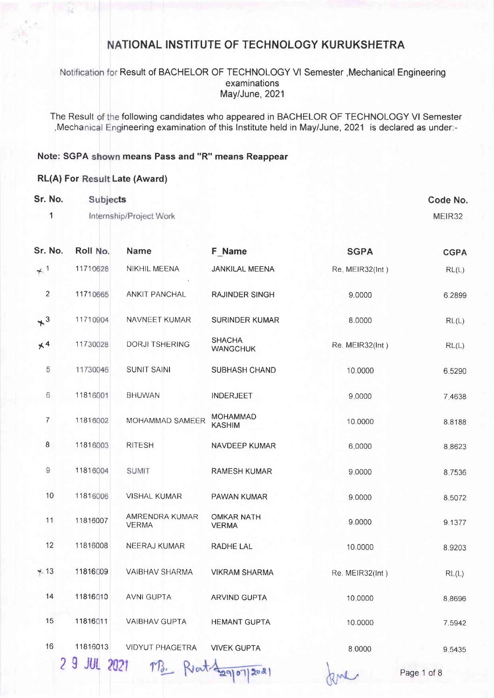Notification for Result of BACHELOR OF TECHNOLOGY VI Semester , Mechanical Engineering examinations May/June, 2021

The Result of the following candidates who appeared in BACHELOR OF TECHNOLOGY VI Semester Mechanical Engineering examination of this Institute held in May/June, 2021 is declared as under:-

### Note: SGPA shown means Pass and "R" means Reappear

#### RL(A) For Result Late (Award)

| Sr. No.<br>1          | Subjects     | Internship/Project Work              |                                   |                 | Code No.<br>MEIR32 |
|-----------------------|--------------|--------------------------------------|-----------------------------------|-----------------|--------------------|
|                       |              |                                      |                                   |                 |                    |
| Sr. No.               | Roll No.     | <b>Name</b>                          | <b>F</b> Name                     | <b>SGPA</b>     | <b>CGPA</b>        |
| $+1$                  | 11710628     | NIKHIL MEENA                         | <b>JANKILAL MEENA</b>             | Re. MEIR32(Int) | RL(L)              |
| $\overline{2}$        | 11710665     | ANKIT PANCHAL                        | <b>RAJINDER SINGH</b>             | 9.0000          | 6.2899             |
| $+$ <sup>3</sup>      | 11710904     | NAVNEET KUMAR                        | <b>SURINDER KUMAR</b>             | 8.0000          | RL(L)              |
| $\times$ <sup>4</sup> | 11730028     | <b>DORJI TSHERING</b>                | <b>SHACHA</b><br><b>WANGCHUK</b>  | Re. MEIR32(Int) | RL(L)              |
| 5                     | 11730046     | <b>SUNIT SAINI</b>                   | SUBHASH CHAND                     | 10.0000         | 6.5290             |
| $6\,$                 | 11816001     | <b>BHUWAN</b>                        | <b>INDERJEET</b>                  | 9,0000          | 7.4638             |
| 7                     | 11816002     | MOHAMMAD SAMEER                      | <b>MOHAMMAD</b><br><b>KASHIM</b>  | 10.0000         | 8.8188             |
| 8                     | 11816003     | <b>RITESH</b>                        | NAVDEEP KUMAR                     | 6.0000          | 8.8623             |
| $\boldsymbol{9}$      | 11816004     | <b>SUMIT</b>                         | <b>RAMESH KUMAR</b>               | 9.0000          | 8.7536             |
| 10                    | 11816006     | <b>VISHAL KUMAR</b>                  | PAWAN KUMAR                       | 9.0000          | 8.5072             |
| 11                    | 11816007     | AMRENDRA KUMAR<br><b>VERMA</b>       | <b>OMKAR NATH</b><br><b>VERMA</b> | 9.0000          | 9.1377             |
| 12                    | 11816008     | <b>NEERAJ KUMAR</b>                  | RADHE LAL                         | 10.0000         | 8.9203             |
| $+13$                 | 11816009     | <b>VAIBHAV SHARMA</b>                | <b>VIKRAM SHARMA</b>              | Re. MEIR32(Int) | RL(L)              |
| 14                    | 11816010     | <b>AVNI GUPTA</b>                    | ARVIND GUPTA                      | 10.0000         | 8.8696             |
| 15                    | 11816011     | <b>VAIBHAV GUPTA</b>                 | <b>HEMANT GUPTA</b>               | 10.0000         | 7.5942             |
| 16                    | 11816013     | <b>VIDYUT PHAGETRA</b>               | <b>VIVEK GUPTA</b>                | 8,0000          | 9.5435             |
|                       | 2 9 JUL 2021 | $\mathcal{T} \mathcal{B}$ .<br>Rout- |                                   |                 |                    |

Page 1 of 8

RML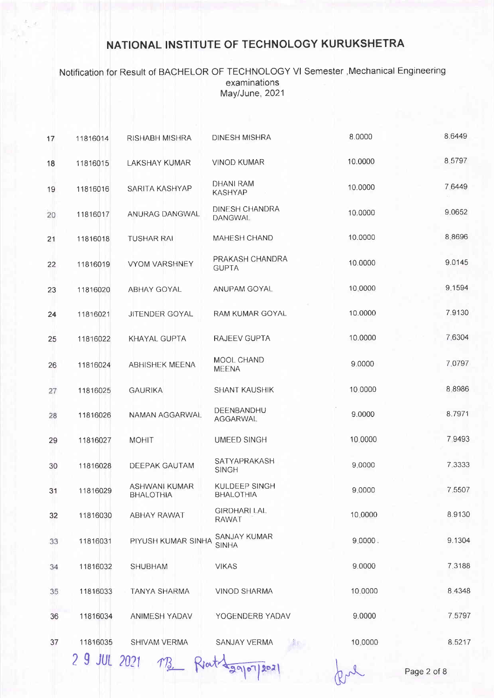### Notification for Result of BACHELOR OF TECHNOLOGY VI Semester , Mechanical Engineering examinations May/June, 2021

| 17 | 11816014     | <b>RISHABH MISHRA</b>             | <b>DINESH MISHRA</b>                | 8.0000  | 8.6449      |
|----|--------------|-----------------------------------|-------------------------------------|---------|-------------|
| 18 | 11816015     | <b>LAKSHAY KUMAR</b>              | <b>VINOD KUMAR</b>                  | 10.0000 | 8.5797      |
| 19 | 11816016     | SARITA KASHYAP                    | <b>DHANI RAM</b><br><b>KASHYAP</b>  | 10.0000 | 7.6449      |
| 20 | 11816017     | ANURAG DANGWAL                    | DINESH CHANDRA<br><b>DANGWAL</b>    | 10.0000 | 9.0652      |
| 21 | 11816018     | <b>TUSHAR RAI</b>                 | <b>MAHESH CHAND</b>                 | 10.0000 | 8.8696      |
| 22 | 11816019     | <b>VYOM VARSHNEY</b>              | PRAKASH CHANDRA<br><b>GUPTA</b>     | 10.0000 | 9.0145      |
| 23 | 11816020     | <b>ABHAY GOYAL</b>                | ANUPAM GOYAL                        | 10.0000 | 9.1594      |
| 24 | 11816021     | <b>JITENDER GOYAL</b>             | RAM KUMAR GOYAL                     | 10.0000 | 7.9130      |
| 25 | 11816022     | KHAYAL GUPTA                      | <b>RAJEEV GUPTA</b>                 | 10.0000 | 7.6304      |
| 26 | 11816024     | <b>ABHISHEK MEENA</b>             | MOOL CHAND<br><b>MEENA</b>          | 9.0000  | 7.0797      |
| 27 | 11816025     | <b>GAURIKA</b>                    | <b>SHANT KAUSHIK</b>                | 10.0000 | 8.8986      |
| 28 | 11816026     | NAMAN AGGARWAL                    | DEENBANDHU<br>AGGARWAL              | 9.0000  | 8.7971      |
| 29 | 11816027     | <b>MOHIT</b>                      | <b>UMEED SINGH</b>                  | 10,0000 | 7.9493      |
| 30 | 11816028     | <b>DEEPAK GAUTAM</b>              | <b>SATYAPRAKASH</b><br><b>SINGH</b> | 9.0000  | 7.3333      |
| 31 | 11816029     | ASHWANI KUMAR<br><b>BHALOTHIA</b> | KULDEEP SINGH<br><b>BHALOTHIA</b>   | 9.0000  | 7.5507      |
| 32 | 11816030     | <b>ABHAY RAWAT</b>                | <b>GIRDHARI LAL</b><br>RAWAT        | 10,0000 | 8.9130      |
| 33 | 11816031     | PIYUSH KUMAR SINHA                | SANJAY KUMAR<br><b>SINHA</b>        | 9.0000. | 9.1304      |
| 34 | 11816032     | <b>SHUBHAM</b>                    | <b>VIKAS</b>                        | 9.0000  | 7.3188      |
| 35 | 11816033     | TANYA SHARMA                      | <b>VINOD SHARMA</b>                 | 10,0000 | 8.4348      |
| 36 | 11816034     | <b>ANIMESH YADAV</b>              | YOGENDERB YADAV                     | 9.0000  | 7.5797      |
| 37 | 11816035     | SHIVAM VERMA                      | SANJAY VERMA                        | 10.0000 | 8.5217      |
|    | 2 9 JUL 2021 |                                   |                                     |         | Page 2 of 8 |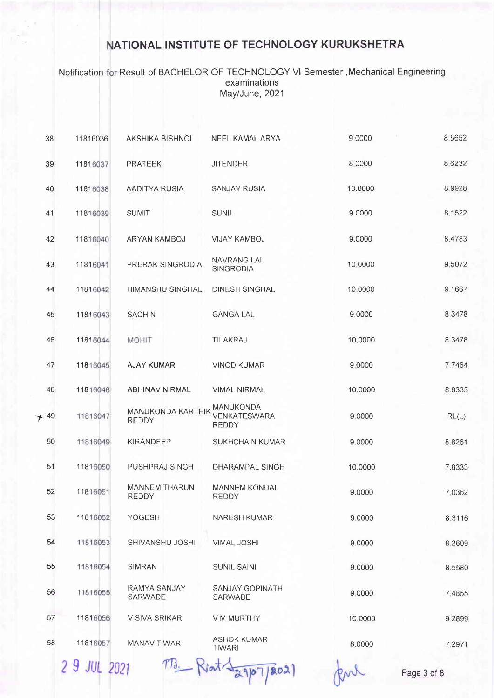Notification Result of BACHELOR OF TECHNOLOGY Vl Semester ,Mechanical Engineering examinations May/June, 2021

| 38    | 11816036 | AKSHIKA BISHNOI                      | NEEL KAMAL ARYA                           | 9.0000  | 8.5652      |
|-------|----------|--------------------------------------|-------------------------------------------|---------|-------------|
| 39    | 11816037 | <b>PRATEEK</b>                       | <b>JITENDER</b>                           | 8.0000  | 8.6232      |
| 40    | 11816038 | AADITYA RUSIA                        | <b>SANJAY RUSIA</b>                       | 10.0000 | 8.9928      |
| 41    | 11816039 | <b>SUMIT</b>                         | SUNIL                                     | 9.0000  | 8.1522      |
| 42    | 11816040 | ARYAN KAMBOJ                         | <b>VIJAY KAMBOJ</b>                       | 9.0000  | 8.4783      |
| 43    | 11816041 | PRERAK SINGRODIA                     | NAVRANG LAL<br>SINGRODIA                  | 10,0000 | 9,5072      |
| 44    | 11816042 | <b>HIMANSHU SINGHAL</b>              | DINESH SINGHAL                            | 10.0000 | 9.1667      |
| 45    | 11816043 | <b>SACHIN</b>                        | <b>GANGA LAL</b>                          | 9.0000  | 8.3478      |
| 46    | 11816044 | <b>MOHIT</b>                         | TILAKRAJ                                  | 10,0000 | 8.3478      |
| 47    | 11816045 | <b>AJAY KUMAR</b>                    | <b>VINOD KUMAR</b>                        | 9,0000  | 7.7464      |
| 48    | 11816046 | <b>ABHINAV NIRMAL</b>                | <b>VIMAL NIRMAL</b>                       | 10.0000 | 8.8333      |
| $+49$ | 11816047 | MANUKONDA KARTHIK<br><b>REDDY</b>    | MANUKONDA<br>VENKATESWARA<br><b>REDDY</b> | 9.0000  | RL(L)       |
| 50    | 11816049 | KIRANDEEP                            | SUKHCHAIN KUMAR                           | 9.0000  | 8.8261      |
| 51    | 11816050 | PUSHPRAJ SINGH                       | <b>DHARAMPAL SINGH</b>                    | 10.0000 | 7.8333      |
| 52    | 11816051 | <b>MANNEM THARUN</b><br><b>REDDY</b> | <b>MANNEM KONDAL</b><br><b>REDDY</b>      | 9.0000  | 7.0362      |
| 53    | 11816052 | YOGESH                               | <b>NARESH KUMAR</b>                       | 9.0000  | 8.3116      |
| 54    | 11816053 | SHIVANSHU JOSHI                      | <b>VIMAL JOSHI</b>                        | 9.0000  | 8.2609      |
| 55    | 11816054 | <b>SIMRAN</b>                        | <b>SUNIL SAINI</b>                        | 9.0000  | 8.5580      |
| 56    | 11816055 | RAMYA SANJAY<br>SARWADE              | SANJAY GOPINATH<br>SARWADE                | 9.0000  | 7.4855      |
| 57    | 11816056 | V SIVA SRIKAR                        | V M MURTHY                                | 10.0000 | 9.2899      |
| 58    | 11816057 | <b>MANAV TIWARI</b>                  | <b>ASHOK KUMAR</b><br><b>TIWARI</b>       | 8.0000  | 7,2971      |
|       | 29JUL    |                                      | 202                                       |         | Page 3 of 8 |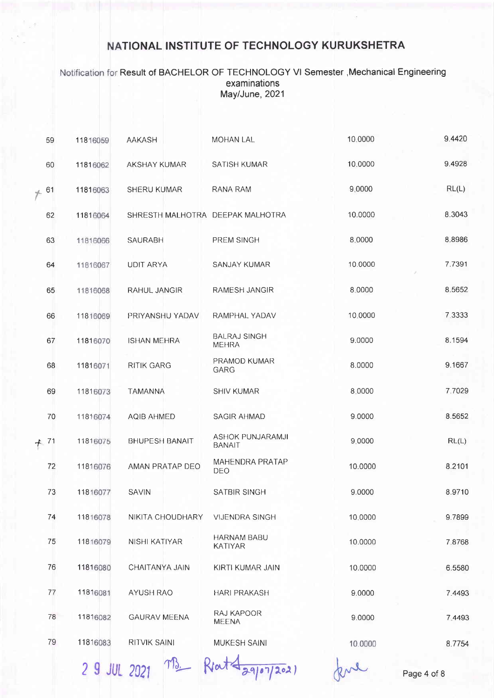Notification for Result of BACHELOR OF TECHNOLOGY VI Semester , Mechanical Engineering examinations May/June, 2021

| 59     | 11816059 | <b>AAKASH</b>                    | <b>MOHAN LAL</b>                     | 10.0000 | 9.4420 |
|--------|----------|----------------------------------|--------------------------------------|---------|--------|
| 60     | 11816062 | AKSHAY KUMAR                     | <b>SATISH KUMAR</b>                  | 10.0000 | 9.4928 |
| $+ 61$ | 11816063 | <b>SHERU KUMAR</b>               | RANA RAM                             | 9,0000  | RL(L)  |
| 62     | 11816064 | SHRESTH MALHOTRA DEEPAK MALHOTRA |                                      | 10.0000 | 8.3043 |
| 63     | 11816066 | <b>SAURABH</b>                   | PREM SINGH                           | 8.0000  | 8.8986 |
| 64     | 11816067 | <b>UDIT ARYA</b>                 | SANJAY KUMAR                         | 10.0000 | 7.7391 |
| 65     | 11816068 | RAHUL JANGIR                     | RAMESH JANGIR                        | 8.0000  | 8.5652 |
| 66     | 11816069 | PRIYANSHU YADAV                  | RAMPHAL YADAV                        | 10.0000 | 7.3333 |
| 67     | 11816070 | <b>ISHAN MEHRA</b>               | <b>BALRAJ SINGH</b><br><b>MEHRA</b>  | 9.0000  | 8.1594 |
| 68     | 11816071 | <b>RITIK GARG</b>                | PRAMOD KUMAR<br><b>GARG</b>          | 8.0000  | 9.1667 |
| 69     | 11816073 | <b>TAMANNA</b>                   | SHIV KUMAR                           | 8.0000  | 7.7029 |
| 70     | 11816074 | AQIB AHMED                       | SAGIR AHMAD                          | 9.0000  | 8.5652 |
| $+ 71$ | 11816075 | <b>BHUPESH BANAIT</b>            | ASHOK PUNJARAMJI<br><b>BANAIT</b>    | 9.0000  | RL(L)  |
| 72     | 11816076 | AMAN PRATAP DEO                  | <b>MAHENDRA PRATAP</b><br>DEO        | 10.0000 | 8.2101 |
| 73     | 11816077 | <b>SAVIN</b>                     | SATBIR SINGH                         | 9.0000  | 8.9710 |
| 74     | 11816078 | NIKITA CHOUDHARY                 | <b>VIJENDRA SINGH</b>                | 10.0000 | 9.7899 |
| 75     | 11816079 | NISHI KATIYAR                    | <b>HARNAM BABU</b><br><b>KATIYAR</b> | 10.0000 | 7.8768 |
| 76     | 11816080 | CHAITANYA JAIN                   | KIRTI KUMAR JAIN                     | 10.0000 | 6.5580 |
| 77     | 11816081 | <b>AYUSH RAO</b>                 | <b>HARI PRAKASH</b>                  | 9.0000  | 7.4493 |
| 78     | 11816082 | <b>GAURAV MEENA</b>              | RAJ KAPOOR<br>MEENA                  | 9.0000  | 7.4493 |
| 79     | 11816083 | <b>RITVIK SAINI</b>              | MUKESH SAINI                         | 10.0000 | 8.7754 |
|        |          |                                  |                                      |         |        |

2 9 JUL 2021 MB Reat Jagon/2021

Page 4 of 8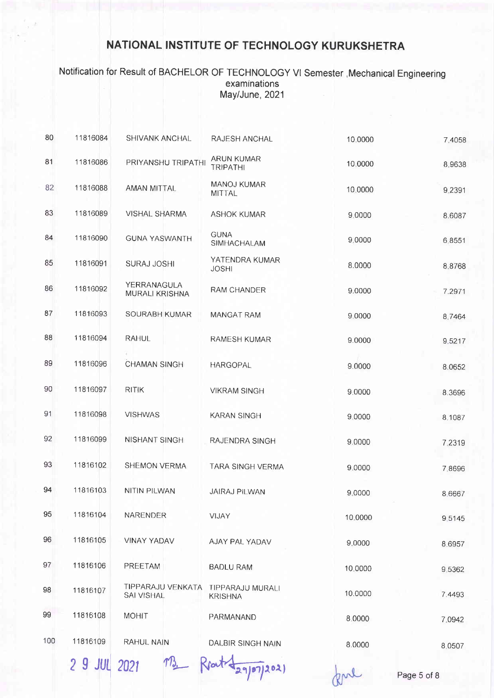Notification for Result of BACHELOR OF TECHNOLOGY VI Semester , Mechanical Engineering examinations May/June, 2021

| 80  | 11816084     | <b>SHIVANK ANCHAL</b>                  | RAJESH ANCHAL                       | 10.0000 | 7,4058 |
|-----|--------------|----------------------------------------|-------------------------------------|---------|--------|
| 81  | 11816086     | PRIYANSHU TRIPATHI                     | ARUN KUMAR<br><b>TRIPATHI</b>       | 10,0000 | 8.9638 |
| 82  | 11816088     | AMAN MITTAL                            | <b>MANOJ KUMAR</b><br><b>MITTAL</b> | 10,0000 | 9.2391 |
| 83  | 11816089     | VISHAL SHARMA                          | <b>ASHOK KUMAR</b>                  | 9.0000  | 8.6087 |
| 84  | 11816090     | <b>GUNA YASWANTH</b>                   | <b>GUNA</b><br>SIMHACHALAM          | 9.0000  | 6.8551 |
| 85  | 11816091     | <b>SURAJ JOSHI</b>                     | YATENDRA KUMAR<br><b>JOSHI</b>      | 8.0000  | 8.8768 |
| 86  | 11816092     | YERRANAGULA<br><b>MURALI KRISHNA</b>   | <b>RAM CHANDER</b>                  | 9.0000  | 7.2971 |
| 87  | 11816093     | SOURABH KUMAR                          | <b>MANGAT RAM</b>                   | 9.0000  | 8.7464 |
| 88  | 11816094     | <b>RAHUL</b>                           | <b>RAMESH KUMAR</b>                 | 9.0000  | 9.5217 |
| 89  | 11816096     | <b>CHAMAN SINGH</b>                    | <b>HARGOPAL</b>                     | 9.0000  | 8.0652 |
| 90  | 11816097     | <b>RITIK</b>                           | <b>VIKRAM SINGH</b>                 | 9.0000  | 8.3696 |
| 91  | 11816098     | <b>VISHWAS</b>                         | <b>KARAN SINGH</b>                  | 9.0000  | 8.1087 |
| 92  | 11816099     | NISHANT SINGH                          | RAJENDRA SINGH                      | 9.0000  | 7.2319 |
| 93  | 11816102     | <b>SHEMON VERMA</b>                    | TARA SINGH VERMA                    | 9.0000  | 7.8696 |
| 94  | 11816103     | NITIN PILWAN                           | <b>JAIRAJ PILWAN</b>                | 9,0000  | 8.6667 |
| 95  | 11816104     | <b>NARENDER</b>                        | VIJAY                               | 10.0000 | 9.5145 |
| 96  | 11816105     | <b>VINAY YADAV</b>                     | AJAY PAL YADAV                      | 9.0000  | 8.6957 |
| 97  | 11816106     | PREETAM                                | <b>BADLU RAM</b>                    | 10,0000 | 9.5362 |
| 98  | 11816107     | TIPPARAJU VENKATA<br><b>SAI VISHAL</b> | TIPPARAJU MURALI<br><b>KRISHNA</b>  | 10.0000 | 7.4493 |
| 99  | 11816108     | <b>MOHIT</b>                           | PARMANAND                           | 8.0000  | 7.0942 |
| 100 | 11816109     | RAHUL NAIN                             | DALBIR SINGH NAIN                   | 8.0000  | 8.0507 |
|     | 2 9 JUL 2021 |                                        |                                     |         |        |

02)

Page 5 of 8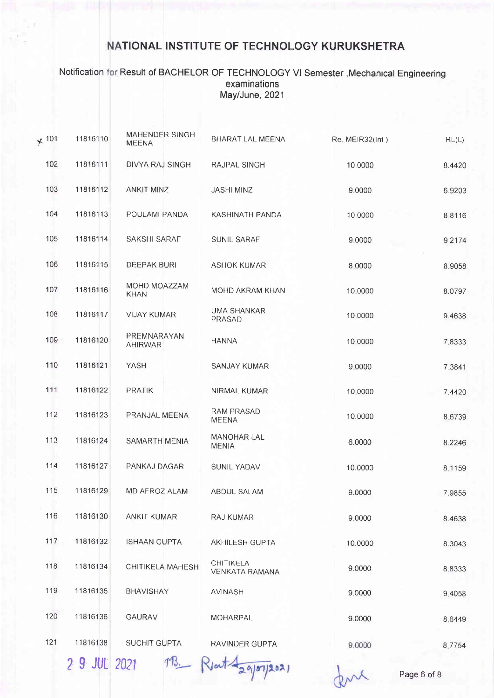### Notification Result of BACHELOR OF TECHNOLOGY Vl Semester,Mechanical Engineering examinations May/June, 2021

| $*$ 101 | 11816110     | MAHENDER SINGH<br><b>MEENA</b> | BHARAT LAL MEENA                          | Re. MEIR32(Int) | RL(L)  |
|---------|--------------|--------------------------------|-------------------------------------------|-----------------|--------|
| 102     | 11816111     | DIVYA RAJ SINGH                | RAJPAL SINGH                              | 10.0000         | 8.4420 |
| 103     | 11816112     | <b>ANKIT MINZ</b>              | <b>JASHI MINZ</b>                         | 9.0000          | 6.9203 |
| 104     | 11816113     | POULAMI PANDA                  | KASHINATH PANDA                           | 10.0000         | 8,8116 |
| 105     | 11816114     | <b>SAKSHI SARAF</b>            | SUNIL SARAF                               | 9.0000          | 9.2174 |
| 106     | 11816115     | <b>DEEPAK BURI</b>             | <b>ASHOK KUMAR</b>                        | 8.0000          | 8.9058 |
| 107     | 11816116     | MOHD MOAZZAM<br><b>KHAN</b>    | MOHD AKRAM KHAN                           | 10.0000         | 8.0797 |
| 108     | 11816117     | <b>VIJAY KUMAR</b>             | <b>UMA SHANKAR</b><br>PRASAD              | 10,0000         | 9.4638 |
| 109     | 11816120     | PREMNARAYAN<br><b>AHIRWAR</b>  | <b>HANNA</b>                              | 10.0000         | 7.8333 |
| 110     | 11816121     | YASH                           | <b>SANJAY KUMAR</b>                       | 9.0000          | 7.3841 |
| 111     | 11816122     | PRATIK                         | NIRMAL KUMAR                              | 10,0000         | 7.4420 |
| 112     | 11816123     | PRANJAL MEENA                  | RAM PRASAD<br><b>MEENA</b>                | 10.0000         | 8.6739 |
| 113     | 11816124     | SAMARTH MENIA                  | MANOHAR LAL<br><b>MENIA</b>               | 6.0000          | 8.2246 |
| 114     | 11816127     | PANKAJ DAGAR                   | SUNIL YADAV                               | 10.0000         | 8.1159 |
| 115     | 11816129     | MD AFROZ ALAM                  | ABDUL SALAM                               | 9.0000          | 7.9855 |
| 116     | 11816130     | <b>ANKIT KUMAR</b>             | <b>RAJ KUMAR</b>                          | 9.0000          | 8.4638 |
| 117     | 11816132     | <b>ISHAAN GUPTA</b>            | <b>AKHILESH GUPTA</b>                     | 10.0000         | 8.3043 |
| 118     | 11816134     | CHITIKELA MAHESH               | <b>CHITIKELA</b><br><b>VENKATA RAMANA</b> | 9.0000          | 8.8333 |
| 119     | 11816135     | <b>BHAVISHAY</b>               | <b>AVINASH</b>                            | 9.0000          | 9.4058 |
| 120     | 11816136     | <b>GAURAV</b>                  | MOHARPAL                                  | 9.0000          | 8.6449 |
| 121     | 11816138     | <b>SUCHIT GUPTA</b>            | RAVINDER GUPTA                            | 9.0000          | 8.7754 |
|         | 2 9 JUL 2021 |                                |                                           |                 |        |

 $87/202$ 

Page 6 of 8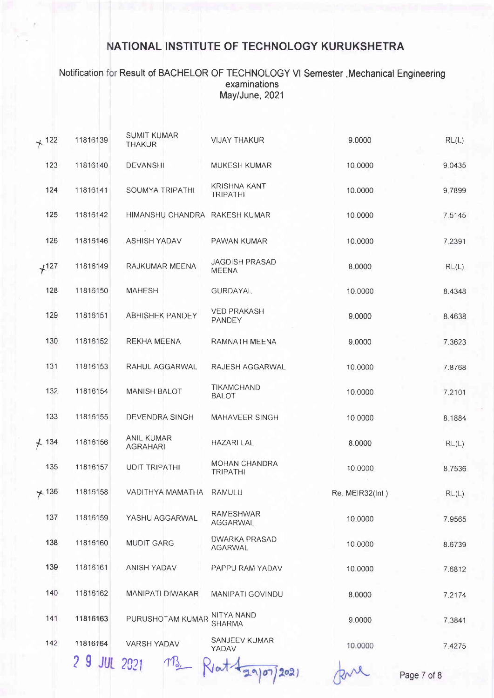### Notification for Result of BACHELOR OF TECHNOLOGY VI Semester , Mechanical Engineering examinations May/June, 2021

| $+ 122$ | 11816139    | <b>SUMIT KUMAR</b><br><b>THAKUR</b>  | <b>VIJAY THAKUR</b>                    | 9.0000          | RL(L)  |
|---------|-------------|--------------------------------------|----------------------------------------|-----------------|--------|
| 123     | 11816140    | <b>DEVANSHI</b>                      | MUKESH KUMAR                           | 10,0000         | 9.0435 |
| 124     | 11816141    | SOUMYA TRIPATHI                      | <b>KRISHNA KANT</b><br><b>TRIPATHI</b> | 10.0000         | 9,7899 |
| 125     | 11816142    | HIMANSHU CHANDRA RAKESH KUMAR        |                                        | 10,0000         | 7.5145 |
| 126     | 11816146    | ASHISH YADAV                         | PAWAN KUMAR                            | 10.0000         | 7,2391 |
| $+127$  | 11816149    | RAJKUMAR MEENA                       | <b>JAGDISH PRASAD</b><br><b>MEENA</b>  | 8.0000          | RL(L)  |
| 128     | 11816150    | <b>MAHESH</b>                        | <b>GURDAYAL</b>                        | 10.0000         | 8.4348 |
| 129     | 11816151    | <b>ABHISHEK PANDEY</b>               | <b>VED PRAKASH</b><br>PANDEY           | 9.0000          | 8.4638 |
| 130     | 11816152    | <b>REKHA MEENA</b>                   | RAMNATH MEENA                          | 9,0000          | 7.3623 |
| 131     | 11816153    | RAHUL AGGARWAL                       | RAJESH AGGARWAL                        | 10.0000         | 7.8768 |
| 132     | 11816154    | <b>MANISH BALOT</b>                  | TIKAMCHAND<br><b>BALOT</b>             | 10.0000         | 7.2101 |
| 133     | 11816155    | DEVENDRA SINGH                       | MAHAVEER SINGH                         | 10.0000         | 8,1884 |
| $+ 134$ | 11816156    | <b>ANIL KUMAR</b><br><b>AGRAHARI</b> | <b>HAZARI LAL</b>                      | 8.0000          | RL(L)  |
| 135     | 11816157    | <b>UDIT TRIPATHI</b>                 | MOHAN CHANDRA<br><b>TRIPATHI</b>       | 10.0000         | 8,7536 |
| ×136    | 11816158    | VADITHYA MAMATHA                     | RAMULU                                 | Re. MEIR32(Int) | RL(L)  |
| 137     | 11816159    | YASHU AGGARWAL                       | <b>RAMESHWAR</b><br><b>AGGARWAL</b>    | 10,0000         | 7.9565 |
| 138     | 11816160    | <b>MUDIT GARG</b>                    | <b>DWARKA PRASAD</b><br>AGARWAL        | 10,0000         | 8.6739 |
| 139     | 11816161    | <b>ANISH YADAV</b>                   | PAPPU RAM YADAV                        | 10.0000         | 7.6812 |
| 140     | 11816162    | <b>MANIPATI DIWAKAR</b>              | MANIPATI GOVINDU                       | 8.0000          | 7.2174 |
| 141     | 11816163    | PURUSHOTAM KUMAR                     | NITYA NAND<br><b>SHARMA</b>            | 9.0000          | 7,3841 |
| 142     | 11816164    | <b>VARSH YADAV</b>                   | SANJEEV KUMAR<br>YADAV                 | 10.0000         | 7,4275 |
|         | $2.0 \pm m$ | $\sqrt{ }$                           |                                        |                 |        |

5 A ANT 5051

Rlat + 29/07/2021

Page 7 of 8